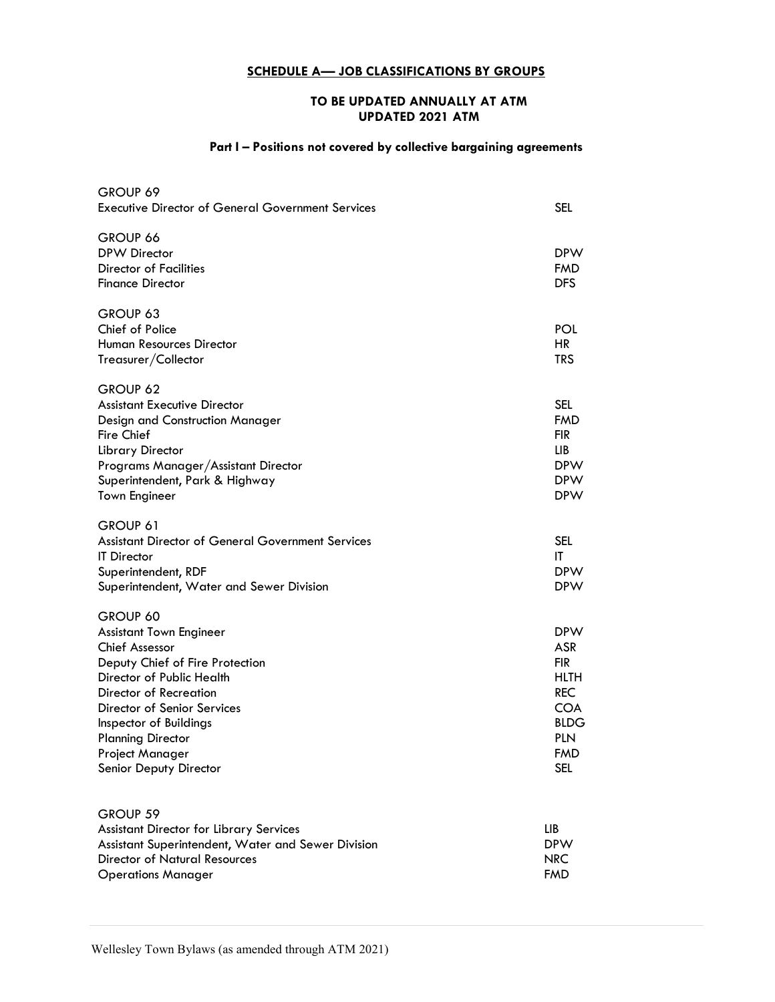## SCHEDULE A- JOB CLASSIFICATIONS BY GROUPS

## TO BE UPDATED ANNUALLY AT ATM UPDATED 2021 ATM

## Part I - Positions not covered by collective bargaining agreements

| GROUP 69<br><b>Executive Director of General Government Services</b>                                                                                                                                                                                                                            | SEL                                                                                                                                 |
|-------------------------------------------------------------------------------------------------------------------------------------------------------------------------------------------------------------------------------------------------------------------------------------------------|-------------------------------------------------------------------------------------------------------------------------------------|
| GROUP 66<br><b>DPW Director</b><br><b>Director of Facilities</b><br><b>Finance Director</b>                                                                                                                                                                                                     | <b>DPW</b><br>FMD<br><b>DFS</b>                                                                                                     |
| GROUP 63<br>Chief of Police<br><b>Human Resources Director</b><br>Treasurer/Collector                                                                                                                                                                                                           | POL<br><b>HR</b><br><b>TRS</b>                                                                                                      |
| GROUP 62<br><b>Assistant Executive Director</b><br>Design and Construction Manager<br><b>Fire Chief</b><br>Library Director<br>Programs Manager/Assistant Director<br>Superintendent, Park & Highway<br><b>Town Engineer</b>                                                                    | SEL<br><b>FMD</b><br><b>FIR</b><br>LIB<br><b>DPW</b><br><b>DPW</b><br><b>DPW</b>                                                    |
| GROUP 61<br><b>Assistant Director of General Government Services</b><br><b>IT</b> Director<br>Superintendent, RDF<br>Superintendent, Water and Sewer Division                                                                                                                                   | <b>SEL</b><br>ΙT<br><b>DPW</b><br><b>DPW</b>                                                                                        |
| GROUP 60<br><b>Assistant Town Engineer</b><br><b>Chief Assessor</b><br>Deputy Chief of Fire Protection<br>Director of Public Health<br>Director of Recreation<br>Director of Senior Services<br>Inspector of Buildings<br><b>Planning Director</b><br>Project Manager<br>Senior Deputy Director | <b>DPW</b><br><b>ASR</b><br>fir<br><b>HLTH</b><br><b>REC</b><br><b>COA</b><br><b>BLDG</b><br><b>PLN</b><br><b>FMD</b><br><b>SEL</b> |
| GROUP 59<br><b>Assistant Director for Library Services</b><br>Assistant Superintendent, Water and Sewer Division<br><b>Director of Natural Resources</b><br><b>Operations Manager</b>                                                                                                           | LIB<br><b>DPW</b><br><b>NRC</b><br><b>FMD</b>                                                                                       |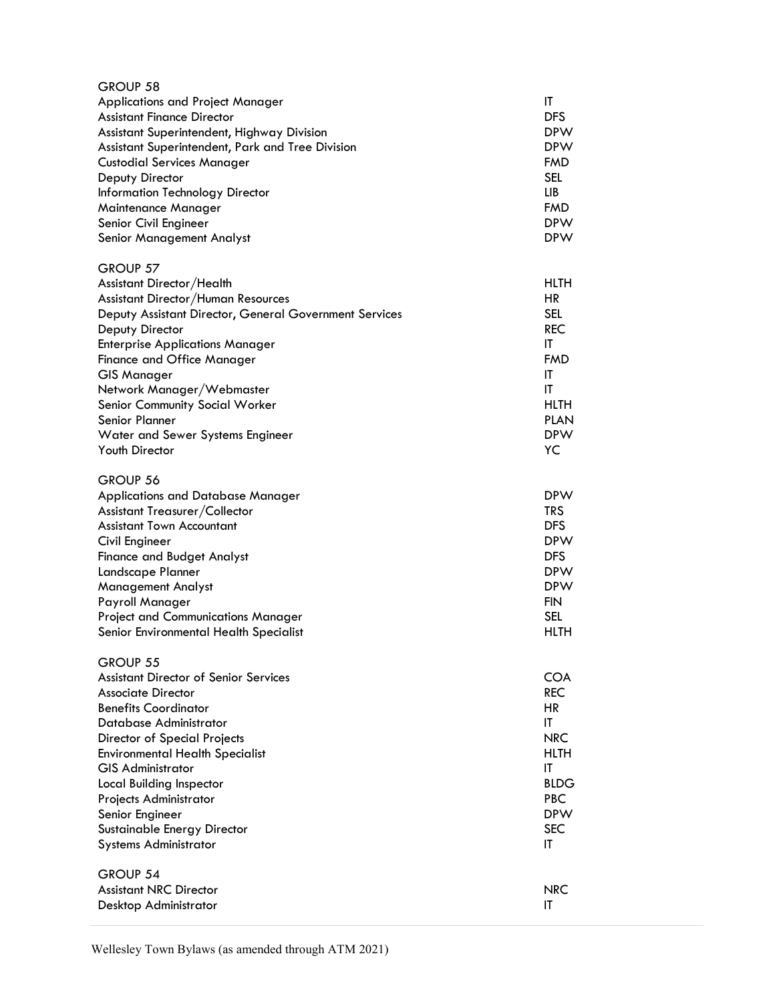| GROUP 58                                               |             |
|--------------------------------------------------------|-------------|
| Applications and Project Manager                       | IT          |
| <b>Assistant Finance Director</b>                      | <b>DFS</b>  |
| Assistant Superintendent, Highway Division             | <b>DPW</b>  |
| Assistant Superintendent, Park and Tree Division       | <b>DPW</b>  |
| <b>Custodial Services Manager</b>                      | <b>FMD</b>  |
| Deputy Director                                        | <b>SEL</b>  |
| Information Technology Director                        | LIB.        |
| Maintenance Manager                                    | <b>FMD</b>  |
| Senior Civil Engineer                                  | <b>DPW</b>  |
| Senior Management Analyst                              | <b>DPW</b>  |
| GROUP 57                                               |             |
| Assistant Director/Health                              | <b>HLTH</b> |
| Assistant Director/Human Resources                     | <b>HR</b>   |
| Deputy Assistant Director, General Government Services | <b>SEL</b>  |
| Deputy Director                                        | <b>REC</b>  |
| <b>Enterprise Applications Manager</b>                 | ΙT          |
| <b>Finance and Office Manager</b>                      | <b>FMD</b>  |
| <b>GIS Manager</b>                                     | IT          |
| Network Manager/Webmaster                              | IT          |
| Senior Community Social Worker                         | <b>HLTH</b> |
| Senior Planner                                         | <b>PLAN</b> |
| Water and Sewer Systems Engineer                       | <b>DPW</b>  |
| Youth Director                                         | YC          |
|                                                        |             |
| GROUP 56                                               |             |
| <b>Applications and Database Manager</b>               | <b>DPW</b>  |
| Assistant Treasurer/Collector                          | <b>TRS</b>  |
| <b>Assistant Town Accountant</b>                       | <b>DFS</b>  |
| Civil Engineer                                         | <b>DPW</b>  |
| <b>Finance and Budget Analyst</b>                      | <b>DFS</b>  |
| Landscape Planner                                      | <b>DPW</b>  |
| <b>Management Analyst</b>                              | <b>DPW</b>  |
| Payroll Manager                                        | <b>FIN</b>  |
| <b>Project and Communications Manager</b>              | <b>SEL</b>  |
| Senior Environmental Health Specialist                 | <b>HLTH</b> |
|                                                        |             |
| GROUP 55                                               |             |
| <b>Assistant Director of Senior Services</b>           | COA         |
| <b>Associate Director</b>                              | <b>REC</b>  |
| <b>Benefits Coordinator</b>                            | HR          |
| Database Administrator                                 | IT          |
| <b>Director of Special Projects</b>                    | <b>NRC</b>  |
| <b>Environmental Health Specialist</b>                 | <b>HLTH</b> |
| <b>GIS Administrator</b>                               | IT          |
| Local Building Inspector                               | <b>BLDG</b> |
| Projects Administrator                                 | <b>PBC</b>  |
| Senior Engineer                                        | <b>DPW</b>  |
| Sustainable Energy Director                            | <b>SEC</b>  |
| <b>Systems Administrator</b>                           | IT          |
| <b>GROUP 54</b>                                        |             |
| <b>Assistant NRC Director</b>                          | <b>NRC</b>  |
| Desktop Administrator                                  | IT          |
|                                                        |             |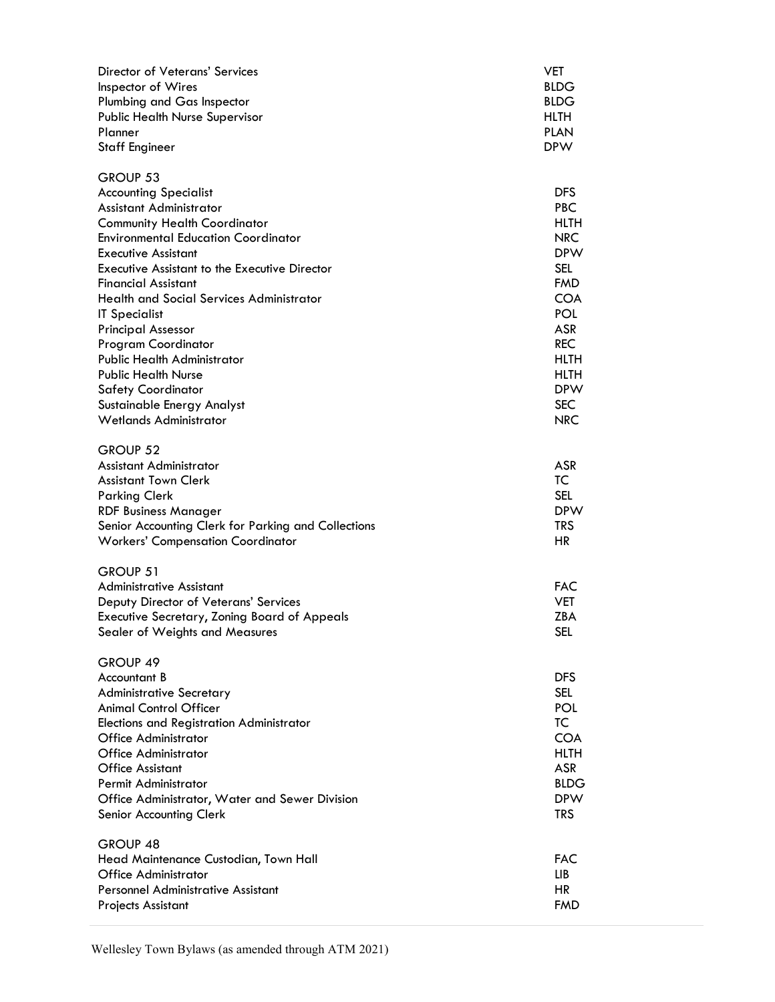| Director of Veterans' Services<br>Inspector of Wires<br>Plumbing and Gas Inspector<br><b>Public Health Nurse Supervisor</b><br>Planner<br><b>Staff Engineer</b>                                                                                                                                                                                                                                                                                                                                                                                                             | VET<br><b>BLDG</b><br><b>BLDG</b><br>HLTH<br><b>PLAN</b><br><b>DPW</b>                                                                                                                                                          |
|-----------------------------------------------------------------------------------------------------------------------------------------------------------------------------------------------------------------------------------------------------------------------------------------------------------------------------------------------------------------------------------------------------------------------------------------------------------------------------------------------------------------------------------------------------------------------------|---------------------------------------------------------------------------------------------------------------------------------------------------------------------------------------------------------------------------------|
| GROUP 53<br><b>Accounting Specialist</b><br>Assistant Administrator<br><b>Community Health Coordinator</b><br><b>Environmental Education Coordinator</b><br><b>Executive Assistant</b><br><b>Executive Assistant to the Executive Director</b><br><b>Financial Assistant</b><br><b>Health and Social Services Administrator</b><br><b>IT Specialist</b><br><b>Principal Assessor</b><br>Program Coordinator<br><b>Public Health Administrator</b><br><b>Public Health Nurse</b><br><b>Safety Coordinator</b><br>Sustainable Energy Analyst<br><b>Wetlands Administrator</b> | <b>DFS</b><br><b>PBC</b><br><b>HLTH</b><br><b>NRC</b><br><b>DPW</b><br><b>SEL</b><br><b>FMD</b><br><b>COA</b><br><b>POL</b><br><b>ASR</b><br><b>REC</b><br><b>HLTH</b><br><b>HLTH</b><br><b>DPW</b><br><b>SEC</b><br><b>NRC</b> |
| GROUP 52<br>Assistant Administrator<br><b>Assistant Town Clerk</b><br><b>Parking Clerk</b><br><b>RDF Business Manager</b><br>Senior Accounting Clerk for Parking and Collections<br><b>Workers' Compensation Coordinator</b>                                                                                                                                                                                                                                                                                                                                                | <b>ASR</b><br>TC<br><b>SEL</b><br><b>DPW</b><br><b>TRS</b><br><b>HR</b>                                                                                                                                                         |
| GROUP 51<br><b>Administrative Assistant</b><br>Deputy Director of Veterans' Services<br><b>Executive Secretary, Zoning Board of Appeals</b><br>Sealer of Weights and Measures                                                                                                                                                                                                                                                                                                                                                                                               | <b>FAC</b><br><b>VET</b><br><b>ZBA</b><br><b>SEL</b>                                                                                                                                                                            |
| GROUP 49<br>Accountant B<br><b>Administrative Secretary</b><br><b>Animal Control Officer</b><br><b>Elections and Registration Administrator</b><br>Office Administrator<br>Office Administrator<br><b>Office Assistant</b><br><b>Permit Administrator</b><br>Office Administrator, Water and Sewer Division<br>Senior Accounting Clerk                                                                                                                                                                                                                                      | <b>DFS</b><br><b>SEL</b><br>POL<br>TC<br><b>COA</b><br><b>HLTH</b><br>ASR<br><b>BLDG</b><br><b>DPW</b><br><b>TRS</b>                                                                                                            |
| GROUP 48<br>Head Maintenance Custodian, Town Hall<br><b>Office Administrator</b><br>Personnel Administrative Assistant<br><b>Projects Assistant</b>                                                                                                                                                                                                                                                                                                                                                                                                                         | <b>FAC</b><br>LIB.<br><b>HR</b><br><b>FMD</b>                                                                                                                                                                                   |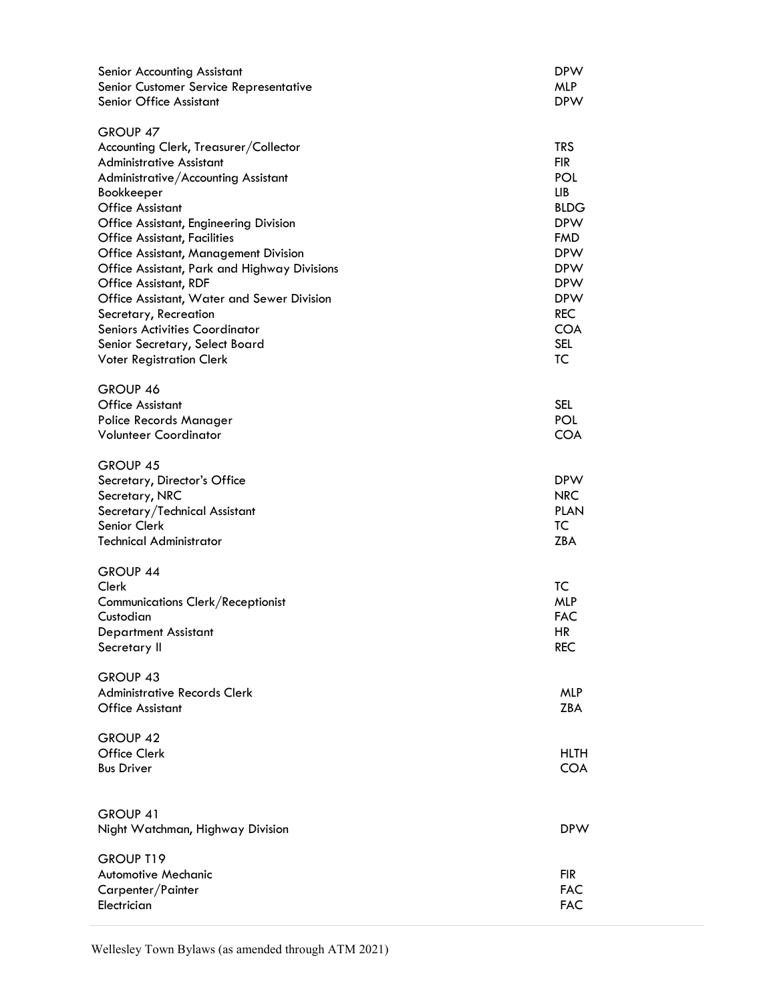| <b>Senior Accounting Assistant</b><br>Senior Customer Service Representative<br>Senior Office Assistant                                                                                                                                                                                                                                                                                                                                                                                                                                                             | <b>DPW</b><br><b>MLP</b><br><b>DPW</b>                                                                                                                                                    |
|---------------------------------------------------------------------------------------------------------------------------------------------------------------------------------------------------------------------------------------------------------------------------------------------------------------------------------------------------------------------------------------------------------------------------------------------------------------------------------------------------------------------------------------------------------------------|-------------------------------------------------------------------------------------------------------------------------------------------------------------------------------------------|
| GROUP 47<br>Accounting Clerk, Treasurer/Collector<br><b>Administrative Assistant</b><br>Administrative/Accounting Assistant<br>Bookkeeper<br><b>Office Assistant</b><br>Office Assistant, Engineering Division<br><b>Office Assistant, Facilities</b><br><b>Office Assistant, Management Division</b><br>Office Assistant, Park and Highway Divisions<br>Office Assistant, RDF<br>Office Assistant, Water and Sewer Division<br>Secretary, Recreation<br><b>Seniors Activities Coordinator</b><br>Senior Secretary, Select Board<br><b>Voter Registration Clerk</b> | <b>TRS</b><br><b>FIR</b><br>POL<br>LIB<br><b>BLDG</b><br><b>DPW</b><br><b>FMD</b><br><b>DPW</b><br><b>DPW</b><br><b>DPW</b><br><b>DPW</b><br><b>REC</b><br><b>COA</b><br><b>SEL</b><br>TC |
| GROUP 46<br><b>Office Assistant</b><br>Police Records Manager<br><b>Volunteer Coordinator</b>                                                                                                                                                                                                                                                                                                                                                                                                                                                                       | <b>SEL</b><br>POL<br><b>COA</b>                                                                                                                                                           |
| <b>GROUP 45</b><br>Secretary, Director's Office<br>Secretary, NRC<br>Secretary/Technical Assistant<br>Senior Clerk<br><b>Technical Administrator</b>                                                                                                                                                                                                                                                                                                                                                                                                                | <b>DPW</b><br><b>NRC</b><br><b>PLAN</b><br>TC<br><b>ZBA</b>                                                                                                                               |
| GROUP 44<br>Clerk<br>Communications Clerk/Receptionist<br>Custodian<br><b>Department Assistant</b><br>Secretary II                                                                                                                                                                                                                                                                                                                                                                                                                                                  | TC<br><b>MLP</b><br><b>FAC</b><br>HR<br><b>REC</b>                                                                                                                                        |
| GROUP 43<br><b>Administrative Records Clerk</b><br><b>Office Assistant</b>                                                                                                                                                                                                                                                                                                                                                                                                                                                                                          | <b>MLP</b><br><b>ZBA</b>                                                                                                                                                                  |
| GROUP 42<br>Office Clerk<br><b>Bus Driver</b>                                                                                                                                                                                                                                                                                                                                                                                                                                                                                                                       | <b>HLTH</b><br><b>COA</b>                                                                                                                                                                 |
| GROUP 41<br>Night Watchman, Highway Division                                                                                                                                                                                                                                                                                                                                                                                                                                                                                                                        | <b>DPW</b>                                                                                                                                                                                |
| GROUP T19<br><b>Automotive Mechanic</b><br>Carpenter/Painter<br>Electrician                                                                                                                                                                                                                                                                                                                                                                                                                                                                                         | <b>FIR</b><br><b>FAC</b><br><b>FAC</b>                                                                                                                                                    |

Wellesley Town Bylaws (as amended through ATM 2021)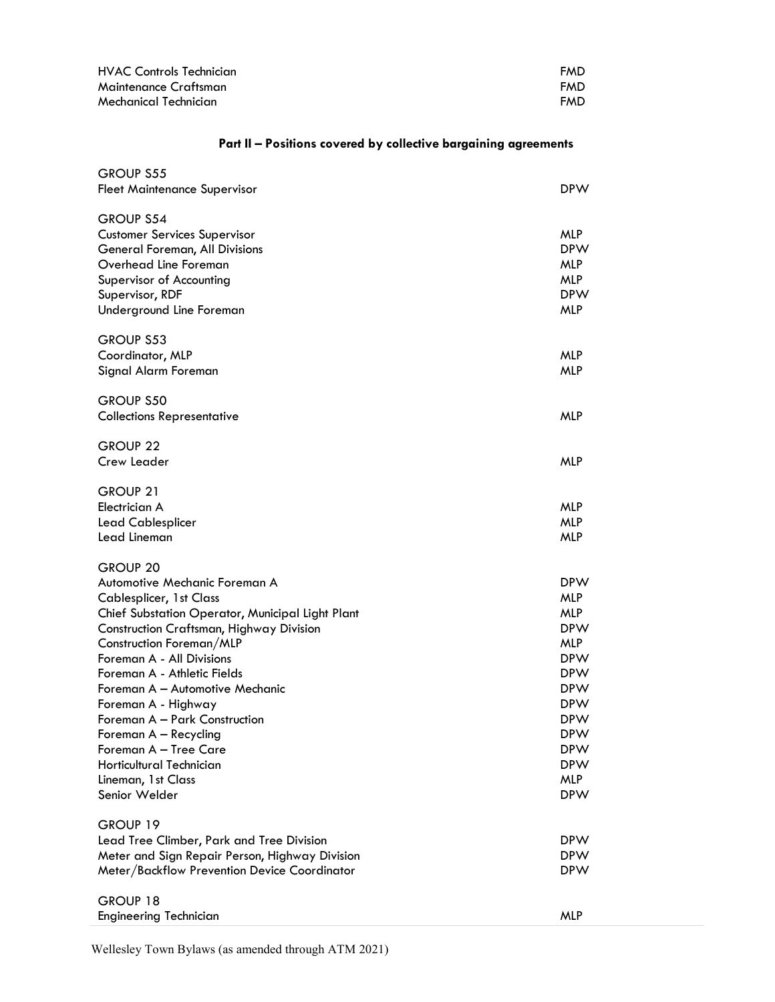| <b>HVAC Controls Technician</b> | <b>FMD</b> |
|---------------------------------|------------|
| Maintenance Craftsman           | <b>FMD</b> |
| Mechanical Technician           | <b>FMD</b> |

## Part II - Positions covered by collective bargaining agreements

| <b>GROUP S55</b><br><b>Fleet Maintenance Supervisor</b>                                                                                                                                                                                                                                                                                                                                                                                                                             | <b>DPW</b>                                                                                                                                                                                                     |
|-------------------------------------------------------------------------------------------------------------------------------------------------------------------------------------------------------------------------------------------------------------------------------------------------------------------------------------------------------------------------------------------------------------------------------------------------------------------------------------|----------------------------------------------------------------------------------------------------------------------------------------------------------------------------------------------------------------|
| <b>GROUP S54</b><br><b>Customer Services Supervisor</b><br>General Foreman, All Divisions<br>Overhead Line Foreman<br>Supervisor of Accounting<br>Supervisor, RDF<br>Underground Line Foreman                                                                                                                                                                                                                                                                                       | <b>MLP</b><br><b>DPW</b><br><b>MLP</b><br><b>MLP</b><br><b>DPW</b><br><b>MLP</b>                                                                                                                               |
| <b>GROUP S53</b><br>Coordinator, MLP<br>Signal Alarm Foreman                                                                                                                                                                                                                                                                                                                                                                                                                        | <b>MLP</b><br><b>MLP</b>                                                                                                                                                                                       |
| <b>GROUP S50</b><br><b>Collections Representative</b>                                                                                                                                                                                                                                                                                                                                                                                                                               | <b>MLP</b>                                                                                                                                                                                                     |
| GROUP <sub>22</sub><br>Crew Leader                                                                                                                                                                                                                                                                                                                                                                                                                                                  | <b>MLP</b>                                                                                                                                                                                                     |
| GROUP 21<br>Electrician A<br>Lead Cablesplicer<br>Lead Lineman                                                                                                                                                                                                                                                                                                                                                                                                                      | <b>MLP</b><br><b>MLP</b><br><b>MLP</b>                                                                                                                                                                         |
| <b>GROUP 20</b><br>Automotive Mechanic Foreman A<br>Cablesplicer, 1st Class<br>Chief Substation Operator, Municipal Light Plant<br>Construction Craftsman, Highway Division<br>Construction Foreman/MLP<br>Foreman A - All Divisions<br>Foreman A - Athletic Fields<br>Foreman A - Automotive Mechanic<br>Foreman A - Highway<br>Foreman A - Park Construction<br>Foreman A - Recycling<br>Foreman A - Tree Care<br>Horticultural Technician<br>Lineman, 1st Class<br>Senior Welder | <b>DPW</b><br><b>MLP</b><br><b>MLP</b><br><b>DPW</b><br><b>MLP</b><br><b>DPW</b><br><b>DPW</b><br><b>DPW</b><br><b>DPW</b><br><b>DPW</b><br><b>DPW</b><br><b>DPW</b><br><b>DPW</b><br><b>MLP</b><br><b>DPW</b> |
| GROUP 19<br>Lead Tree Climber, Park and Tree Division<br>Meter and Sign Repair Person, Highway Division<br>Meter/Backflow Prevention Device Coordinator                                                                                                                                                                                                                                                                                                                             | <b>DPW</b><br><b>DPW</b><br><b>DPW</b>                                                                                                                                                                         |
| GROUP 18<br><b>Engineering Technician</b>                                                                                                                                                                                                                                                                                                                                                                                                                                           | <b>MLP</b>                                                                                                                                                                                                     |

Wellesley Town Bylaws (as amended through ATM 2021)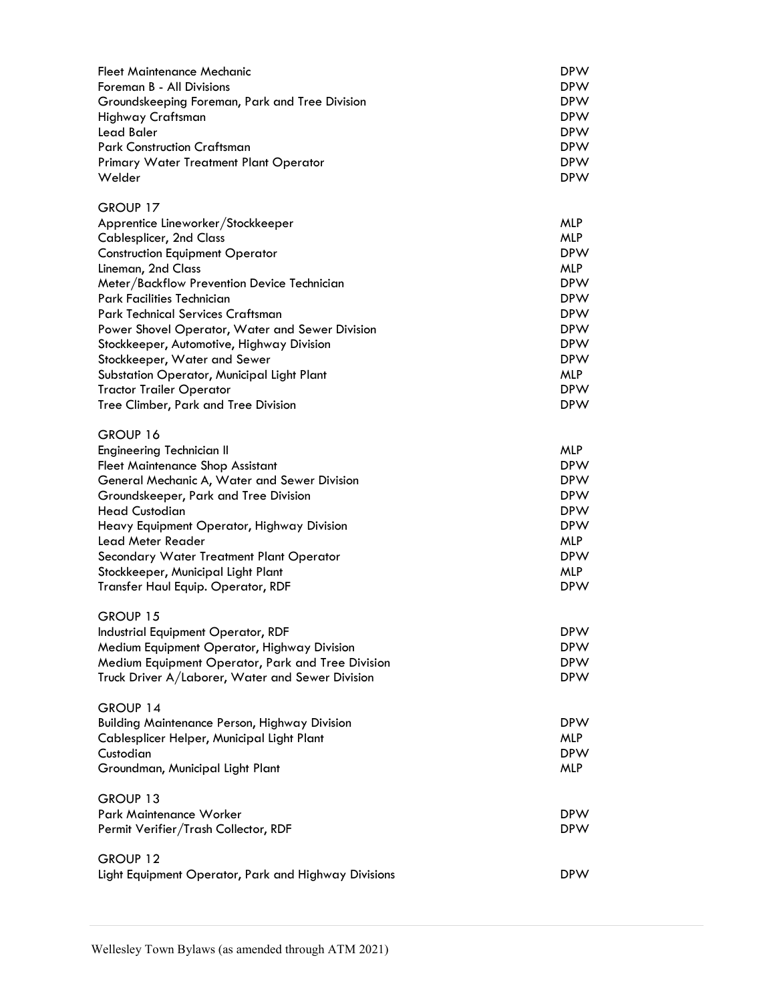| Fleet Maintenance Mechanic<br>Foreman B - All Divisions<br>Groundskeeping Foreman, Park and Tree Division<br>Highway Craftsman<br>Lead Baler<br><b>Park Construction Craftsman</b><br>Primary Water Treatment Plant Operator<br>Welder                                                                                                                                                                                                                                                                                            | <b>DPW</b><br><b>DPW</b><br><b>DPW</b><br><b>DPW</b><br><b>DPW</b><br><b>DPW</b><br><b>DPW</b><br><b>DPW</b>                                                                |
|-----------------------------------------------------------------------------------------------------------------------------------------------------------------------------------------------------------------------------------------------------------------------------------------------------------------------------------------------------------------------------------------------------------------------------------------------------------------------------------------------------------------------------------|-----------------------------------------------------------------------------------------------------------------------------------------------------------------------------|
| GROUP 17<br>Apprentice Lineworker/Stockkeeper<br><b>Cablesplicer, 2nd Class</b><br><b>Construction Equipment Operator</b><br>Lineman, 2nd Class<br>Meter/Backflow Prevention Device Technician<br><b>Park Facilities Technician</b><br>Park Technical Services Craftsman<br>Power Shovel Operator, Water and Sewer Division<br>Stockkeeper, Automotive, Highway Division<br>Stockkeeper, Water and Sewer<br>Substation Operator, Municipal Light Plant<br><b>Tractor Trailer Operator</b><br>Tree Climber, Park and Tree Division | MLP<br><b>MLP</b><br><b>DPW</b><br><b>MLP</b><br><b>DPW</b><br><b>DPW</b><br><b>DPW</b><br><b>DPW</b><br><b>DPW</b><br><b>DPW</b><br><b>MLP</b><br><b>DPW</b><br><b>DPW</b> |
| GROUP 16<br>Engineering Technician II<br><b>Fleet Maintenance Shop Assistant</b><br>General Mechanic A, Water and Sewer Division<br>Groundskeeper, Park and Tree Division<br><b>Head Custodian</b><br>Heavy Equipment Operator, Highway Division<br>Lead Meter Reader<br>Secondary Water Treatment Plant Operator<br>Stockkeeper, Municipal Light Plant<br>Transfer Haul Equip. Operator, RDF                                                                                                                                     | <b>MLP</b><br><b>DPW</b><br><b>DPW</b><br><b>DPW</b><br><b>DPW</b><br><b>DPW</b><br><b>MLP</b><br><b>DPW</b><br><b>MLP</b><br><b>DPW</b>                                    |
| GROUP 15<br>Industrial Equipment Operator, RDF<br>Medium Equipment Operator, Highway Division<br>Medium Equipment Operator, Park and Tree Division<br>Truck Driver A/Laborer, Water and Sewer Division                                                                                                                                                                                                                                                                                                                            | <b>DPW</b><br><b>DPW</b><br><b>DPW</b><br><b>DPW</b>                                                                                                                        |
| GROUP 14<br><b>Building Maintenance Person, Highway Division</b><br>Cablesplicer Helper, Municipal Light Plant<br>Custodian<br>Groundman, Municipal Light Plant                                                                                                                                                                                                                                                                                                                                                                   | <b>DPW</b><br>MLP<br><b>DPW</b><br><b>MLP</b>                                                                                                                               |
| GROUP 13<br>Park Maintenance Worker<br>Permit Verifier/Trash Collector, RDF                                                                                                                                                                                                                                                                                                                                                                                                                                                       | <b>DPW</b><br><b>DPW</b>                                                                                                                                                    |
| GROUP 12<br>Light Equipment Operator, Park and Highway Divisions                                                                                                                                                                                                                                                                                                                                                                                                                                                                  | <b>DPW</b>                                                                                                                                                                  |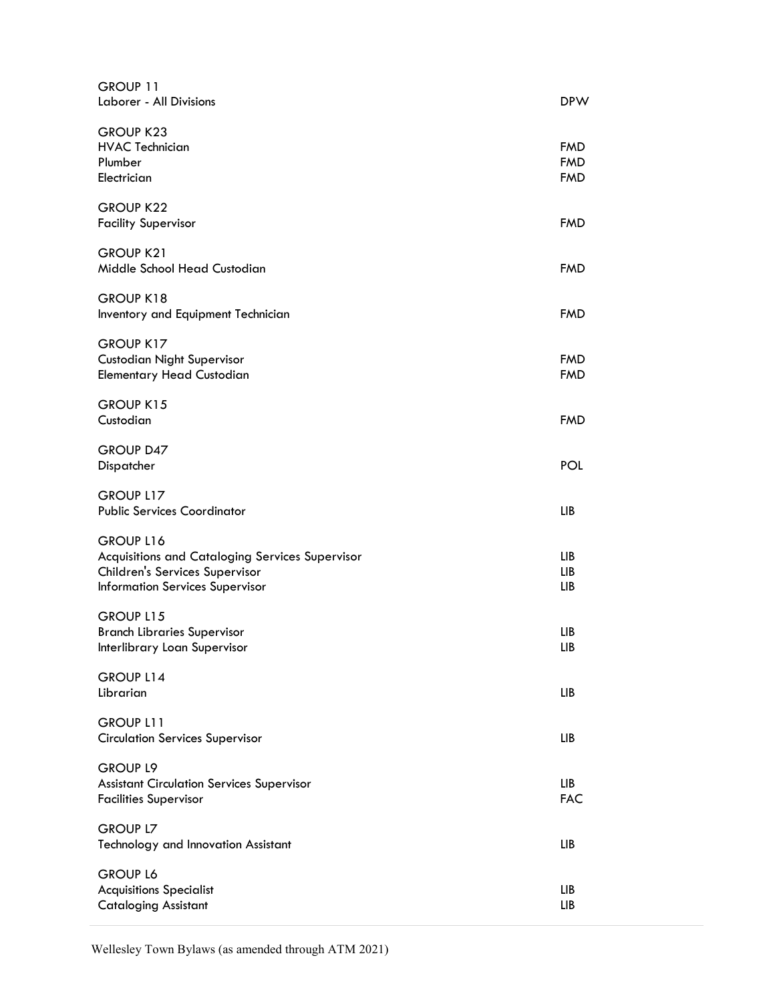| GROUP 11<br>Laborer - All Divisions                                                                                                      | <b>DPW</b>                             |
|------------------------------------------------------------------------------------------------------------------------------------------|----------------------------------------|
| <b>GROUP K23</b><br><b>HVAC Technician</b><br>Plumber<br>Electrician                                                                     | <b>FMD</b><br><b>FMD</b><br><b>FMD</b> |
| <b>GROUP K22</b><br><b>Facility Supervisor</b>                                                                                           | <b>FMD</b>                             |
| <b>GROUP K21</b><br>Middle School Head Custodian                                                                                         | <b>FMD</b>                             |
| GROUP K18<br>Inventory and Equipment Technician                                                                                          | <b>FMD</b>                             |
| <b>GROUP K17</b><br><b>Custodian Night Supervisor</b><br><b>Elementary Head Custodian</b>                                                | <b>FMD</b><br><b>FMD</b>               |
| GROUP K15<br>Custodian                                                                                                                   | <b>FMD</b>                             |
| <b>GROUP D47</b><br>Dispatcher                                                                                                           | POL                                    |
| GROUP L17<br><b>Public Services Coordinator</b>                                                                                          | <b>LIB</b>                             |
| GROUP L16<br>Acquisitions and Cataloging Services Supervisor<br>Children's Services Supervisor<br><b>Information Services Supervisor</b> | LIB<br><b>LIB</b><br>LIB               |
| GROUP L15<br><b>Branch Libraries Supervisor</b><br>Interlibrary Loan Supervisor                                                          | LIB<br>LIB                             |
| GROUP L14<br>Librarian                                                                                                                   | LIB                                    |
| GROUP L11<br><b>Circulation Services Supervisor</b>                                                                                      | LIB.                                   |
| <b>GROUP L9</b><br><b>Assistant Circulation Services Supervisor</b><br><b>Facilities Supervisor</b>                                      | LIB<br><b>FAC</b>                      |
| <b>GROUP L7</b><br>Technology and Innovation Assistant                                                                                   | LIB                                    |
| <b>GROUP L6</b><br><b>Acquisitions Specialist</b><br><b>Cataloging Assistant</b>                                                         | ЦB<br>LIB                              |

Wellesley Town Bylaws (as amended through ATM 2021)